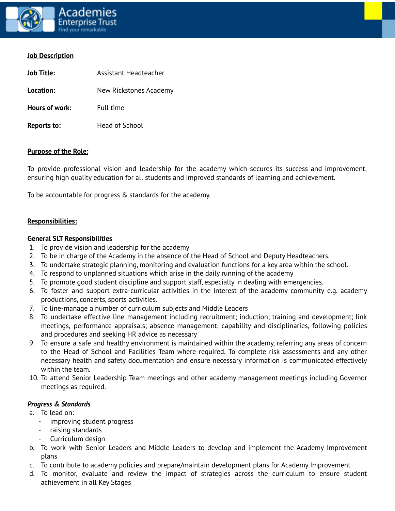

### **Job Description**

| Job Title:     | Assistant Headteacher  |  |
|----------------|------------------------|--|
| Location:      | New Rickstones Academy |  |
| Hours of work: | Full time              |  |
| Reports to:    | Head of School         |  |

### **Purpose of the Role:**

To provide professional vision and leadership for the academy which secures its success and improvement, ensuring high quality education for all students and improved standards of learning and achievement.

To be accountable for progress & standards for the academy.

### **Responsibilities:**

### **General SLT Responsibilities**

- 1. To provide vision and leadership for the academy
- 2. To be in charge of the Academy in the absence of the Head of School and Deputy Headteachers.
- 3. To undertake strategic planning, monitoring and evaluation functions for a key area within the school.
- 4. To respond to unplanned situations which arise in the daily running of the academy
- 5. To promote good student discipline and support staff, especially in dealing with emergencies.
- 6. To foster and support extra-curricular activities in the interest of the academy community e.g. academy productions, concerts, sports activities.
- 7. To line-manage a number of curriculum subjects and Middle Leaders
- 8. To undertake effective line management including recruitment; induction; training and development; link meetings, performance appraisals; absence management; capability and disciplinaries, following policies and procedures and seeking HR advice as necessary
- 9. To ensure a safe and healthy environment is maintained within the academy, referring any areas of concern to the Head of School and Facilities Team where required. To complete risk assessments and any other necessary health and safety documentation and ensure necessary information is communicated effectively within the team.
- 10. To attend Senior Leadership Team meetings and other academy management meetings including Governor meetings as required.

#### *Progress & Standards*

- a. To lead on:
	- improving student progress
	- raising standards
	- Curriculum design
- b. To work with Senior Leaders and Middle Leaders to develop and implement the Academy Improvement plans
- c. To contribute to academy policies and prepare/maintain development plans for Academy Improvement
- d. To monitor, evaluate and review the impact of strategies across the curriculum to ensure student achievement in all Key Stages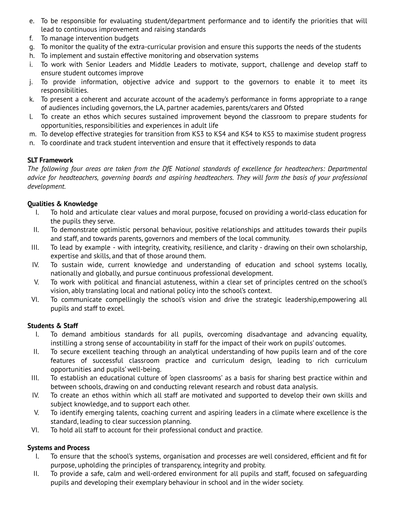- e. To be responsible for evaluating student/department performance and to identify the priorities that will lead to continuous improvement and raising standards
- f. To manage intervention budgets
- g. To monitor the quality of the extra-curricular provision and ensure this supports the needs of the students
- h. To implement and sustain effective monitoring and observation systems
- i. To work with Senior Leaders and Middle Leaders to motivate, support, challenge and develop staff to ensure student outcomes improve
- j. To provide information, objective advice and support to the governors to enable it to meet its responsibilities.
- k. To present a coherent and accurate account of the academy's performance in forms appropriate to a range of audiences including governors, the LA, partner academies, parents/carers and Ofsted
- l. To create an ethos which secures sustained improvement beyond the classroom to prepare students for opportunities, responsibilities and experiences in adult life
- m. To develop effective strategies for transition from KS3 to KS4 and KS4 to KS5 to maximise student progress
- n. To coordinate and track student intervention and ensure that it effectively responds to data

### **SLT Framework**

*The following four areas are taken from the DfE National standards of excellence for headteachers: Departmental* advice for headteachers, governing boards and aspiring headteachers. They will form the basis of your professional *development.*

## **Qualities & Knowledge**

- I. To hold and articulate clear values and moral purpose, focused on providing a world-class education for the pupils they serve.
- II. To demonstrate optimistic personal behaviour, positive relationships and attitudes towards their pupils and staff, and towards parents, governors and members of the local community.
- III. To lead by example with integrity, creativity, resilience, and clarity drawing on their own scholarship, expertise and skills, and that of those around them.
- IV. To sustain wide, current knowledge and understanding of education and school systems locally, nationally and globally, and pursue continuous professional development.
- V. To work with political and financial astuteness, within a clear set of principles centred on the school's vision, ably translating local and national policy into the school's context.
- VI. To communicate compellingly the school's vision and drive the strategic leadership,empowering all pupils and staff to excel.

### **Students & Staff**

- I. To demand ambitious standards for all pupils, overcoming disadvantage and advancing equality, instilling a strong sense of accountability in staff for the impact of their work on pupils' outcomes.
- II. To secure excellent teaching through an analytical understanding of how pupils learn and of the core features of successful classroom practice and curriculum design, leading to rich curriculum opportunities and pupils' well-being.
- III. To establish an educational culture of 'open classrooms' as a basis for sharing best practice within and between schools, drawing on and conducting relevant research and robust data analysis.
- IV. To create an ethos within which all staff are motivated and supported to develop their own skills and subject knowledge, and to support each other.
- V. To identify emerging talents, coaching current and aspiring leaders in a climate where excellence is the standard, leading to clear succession planning.
- VI. To hold all staff to account for their professional conduct and practice.

# **Systems and Process**

- I. To ensure that the school's systems, organisation and processes are well considered, efficient and fit for purpose, upholding the principles of transparency, integrity and probity.
- II. To provide a safe, calm and well-ordered environment for all pupils and staff, focused on safeguarding pupils and developing their exemplary behaviour in school and in the wider society.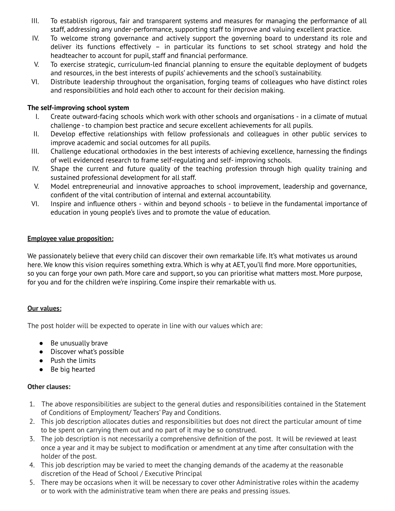- III. To establish rigorous, fair and transparent systems and measures for managing the performance of all staff, addressing any under-performance, supporting staff to improve and valuing excellent practice.
- IV. To welcome strong governance and actively support the governing board to understand its role and deliver its functions effectively – in particular its functions to set school strategy and hold the headteacher to account for pupil, staff and financial performance.
- V. To exercise strategic, curriculum-led financial planning to ensure the equitable deployment of budgets and resources, in the best interests of pupils' achievements and the school's sustainability.
- VI. Distribute leadership throughout the organisation, forging teams of colleagues who have distinct roles and responsibilities and hold each other to account for their decision making.

### **The self-improving school system**

- I. Create outward-facing schools which work with other schools and organisations in a climate of mutual challenge - to champion best practice and secure excellent achievements for all pupils.
- II. Develop effective relationships with fellow professionals and colleagues in other public services to improve academic and social outcomes for all pupils.
- III. Challenge educational orthodoxies in the best interests of achieving excellence, harnessing the findings of well evidenced research to frame self-regulating and self- improving schools.
- IV. Shape the current and future quality of the teaching profession through high quality training and sustained professional development for all staff.
- V. Model entrepreneurial and innovative approaches to school improvement, leadership and governance, confident of the vital contribution of internal and external accountability.
- VI. Inspire and influence others within and beyond schools to believe in the fundamental importance of education in young people's lives and to promote the value of education.

### **Employee value proposition:**

We passionately believe that every child can discover their own remarkable life. It's what motivates us around here. We know this vision requires something extra. Which is why at AET, you'll find more. More opportunities, so you can forge your own path. More care and support, so you can prioritise what matters most. More purpose, for you and for the children we're inspiring. Come inspire their remarkable with us.

### **Our values:**

The post holder will be expected to operate in line with our values which are:

- Be unusually brave
- Discover what's possible
- Push the limits
- Be big hearted

### **Other clauses:**

- 1. The above responsibilities are subject to the general duties and responsibilities contained in the Statement of Conditions of Employment/ Teachers' Pay and Conditions.
- 2. This job description allocates duties and responsibilities but does not direct the particular amount of time to be spent on carrying them out and no part of it may be so construed.
- 3. The job description is not necessarily a comprehensive definition of the post. It will be reviewed at least once a year and it may be subject to modification or amendment at any time after consultation with the holder of the post.
- 4. This job description may be varied to meet the changing demands of the academy at the reasonable discretion of the Head of School / Executive Principal
- 5. There may be occasions when it will be necessary to cover other Administrative roles within the academy or to work with the administrative team when there are peaks and pressing issues.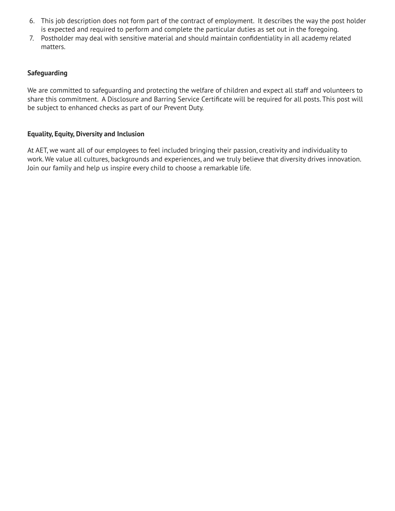- 6. This job description does not form part of the contract of employment. It describes the way the post holder is expected and required to perform and complete the particular duties as set out in the foregoing.
- 7. Postholder may deal with sensitive material and should maintain confidentiality in all academy related matters.

# **Safeguarding**

We are committed to safeguarding and protecting the welfare of children and expect all staff and volunteers to share this commitment. A Disclosure and Barring Service Certificate will be required for all posts. This post will be subject to enhanced checks as part of our Prevent Duty.

# **Equality, Equity, Diversity and Inclusion**

At AET, we want all of our employees to feel included bringing their passion, creativity and individuality to work. We value all cultures, backgrounds and experiences, and we truly believe that diversity drives innovation. Join our family and help us inspire every child to choose a remarkable life.